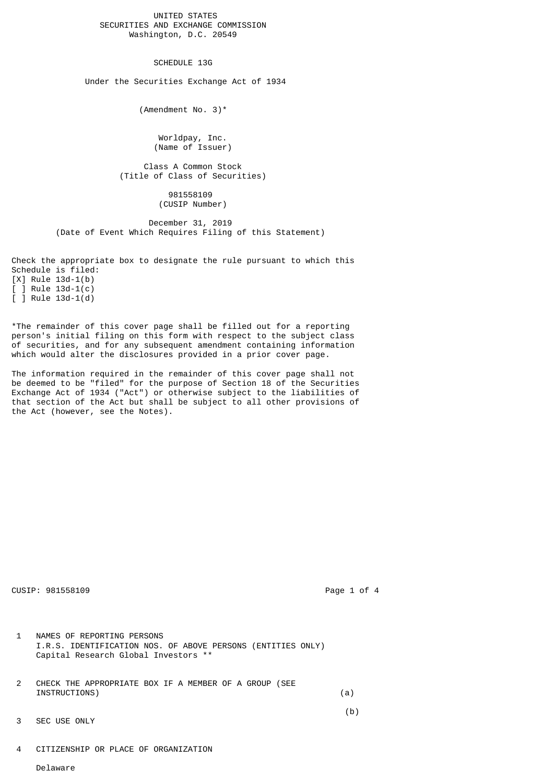UNITED STATES SECURITIES AND EXCHANGE COMMISSION Washington, D.C. 20549

SCHEDULE 13G

Under the Securities Exchange Act of 1934

(Amendment No. 3)\*

 Worldpay, Inc. (Name of Issuer)

 Class A Common Stock (Title of Class of Securities)

> 981558109 (CUSIP Number)

 December 31, 2019 (Date of Event Which Requires Filing of this Statement)

Check the appropriate box to designate the rule pursuant to which this Schedule is filed:

[X] Rule 13d-1(b) [ ] Rule 13d-1(c)  $[$   $]$  Rule 13d-1(d)

\*The remainder of this cover page shall be filled out for a reporting person's initial filing on this form with respect to the subject class of securities, and for any subsequent amendment containing information which would alter the disclosures provided in a prior cover page.

The information required in the remainder of this cover page shall not be deemed to be "filed" for the purpose of Section 18 of the Securities Exchange Act of 1934 ("Act") or otherwise subject to the liabilities of that section of the Act but shall be subject to all other provisions of the Act (however, see the Notes).

CUSIP: 981558109 **Page 1 of 4** 

- 1 NAMES OF REPORTING PERSONS I.R.S. IDENTIFICATION NOS. OF ABOVE PERSONS (ENTITIES ONLY) Capital Research Global Investors \*\*
- 2 CHECK THE APPROPRIATE BOX IF A MEMBER OF A GROUP (SEE INSTRUCTIONS) (a)

(b)

- 3 SEC USE ONLY
- 4 CITIZENSHIP OR PLACE OF ORGANIZATION

Delaware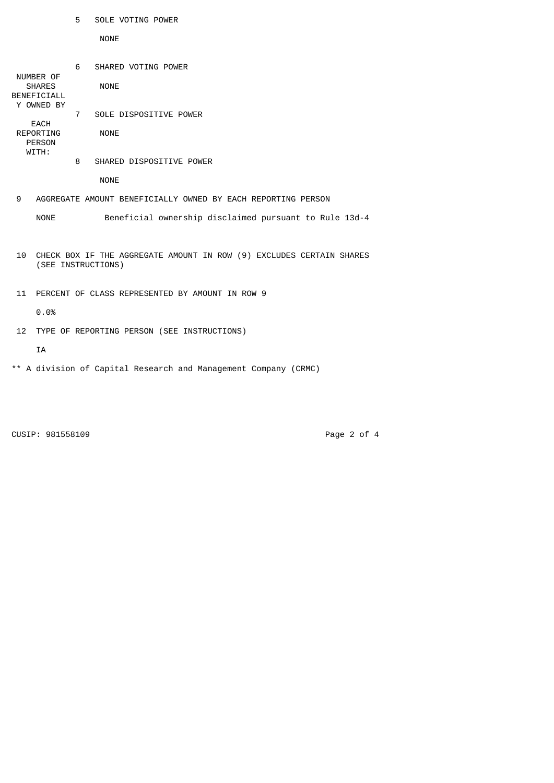|                                                                            |                                                                                                               | 5           | SOLE VOTING POWER                                            |  |
|----------------------------------------------------------------------------|---------------------------------------------------------------------------------------------------------------|-------------|--------------------------------------------------------------|--|
|                                                                            |                                                                                                               |             | <b>NONE</b>                                                  |  |
|                                                                            | NUMBER OF<br><b>SHARES</b><br>BENEFICIALL<br>Y OWNED BY<br><b>EACH</b><br>REPORTING<br><b>PERSON</b><br>WITH: | 6           | SHARED VOTING POWER<br><b>NONE</b>                           |  |
|                                                                            |                                                                                                               | $7^{\circ}$ | SOLE DISPOSITIVE POWER                                       |  |
|                                                                            |                                                                                                               |             | <b>NONE</b>                                                  |  |
|                                                                            |                                                                                                               | 8           | SHARED DISPOSITIVE POWER                                     |  |
|                                                                            |                                                                                                               |             | <b>NONE</b>                                                  |  |
| 9                                                                          |                                                                                                               |             | AGGREGATE AMOUNT BENEFICIALLY OWNED BY EACH REPORTING PERSON |  |
|                                                                            | <b>NONE</b>                                                                                                   |             | Beneficial ownership disclaimed pursuant to Rule 13d-4       |  |
| CHECK BOX IF THE AGGREGATE AMOUNT IN ROW (9) EXCLUDES CERTAIN SHARES<br>10 |                                                                                                               |             |                                                              |  |
| (SEE INSTRUCTIONS)                                                         |                                                                                                               |             |                                                              |  |
| 11                                                                         | PERCENT OF CLASS REPRESENTED BY AMOUNT IN ROW 9                                                               |             |                                                              |  |
|                                                                            | 0.0%                                                                                                          |             |                                                              |  |
| 12                                                                         | TYPE OF REPORTING PERSON (SEE INSTRUCTIONS)                                                                   |             |                                                              |  |
|                                                                            | <b>IA</b>                                                                                                     |             |                                                              |  |
|                                                                            |                                                                                                               |             |                                                              |  |

\*\* A division of Capital Research and Management Company (CRMC)

CUSIP: 981558109 Page 2 of 4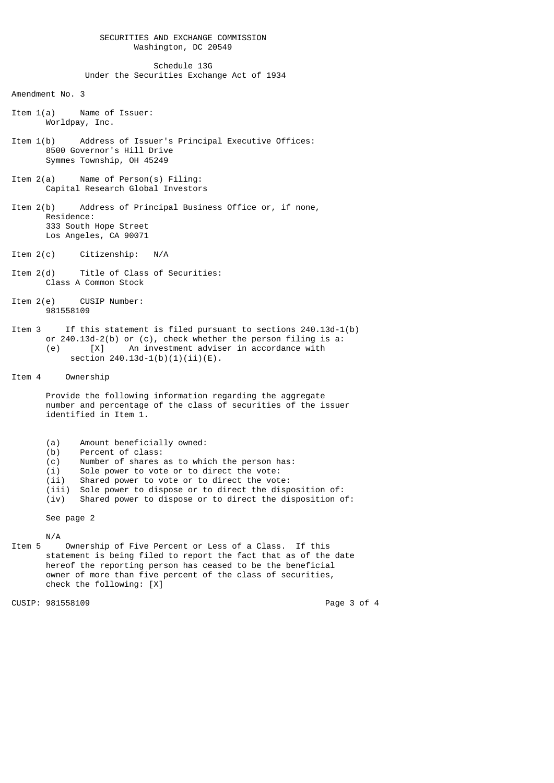## SECURITIES AND EXCHANGE COMMISSION Washington, DC 20549

## Schedule 13G Under the Securities Exchange Act of 1934

Amendment No. 3

- Item 1(a) Name of Issuer: Worldpay, Inc.
- Item 1(b) Address of Issuer's Principal Executive Offices: 8500 Governor's Hill Drive Symmes Township, OH 45249
- Item 2(a) Name of Person(s) Filing: Capital Research Global Investors
- Item 2(b) Address of Principal Business Office or, if none, Residence: 333 South Hope Street Los Angeles, CA 90071
- Item 2(c) Citizenship: N/A
- Item 2(d) Title of Class of Securities: Class A Common Stock
- Item 2(e) CUSIP Number: 981558109
- Item 3 If this statement is filed pursuant to sections 240.13d-1(b) or 240.13d-2(b) or (c), check whether the person filing is a: (e) [X] An investment adviser in accordance with section  $240.13d-1(b)(1)(ii)(E)$ .

Item 4 Ownership

 Provide the following information regarding the aggregate number and percentage of the class of securities of the issuer identified in Item 1.

- (a) Amount beneficially owned:<br>(b) Percent of class:
- 
- (b) Percent of class:<br>(c) Number of shares (c) Number of shares as to which the person has:<br>(i) Sole power to vote or to direct the vote:
- (i) Sole power to vote or to direct the vote:<br>(ii) Shared power to vote or to direct the vote
- Shared power to vote or to direct the vote:
- $(iii)$  Sole power to dispose or to direct the disposition of:<br> $(iv)$  Shared power to dispose or to direct the disposition of
- Shared power to dispose or to direct the disposition of:

See page 2

 $N/A$ <br>Ttem 5 Ownership of Five Percent or Less of a Class. If this statement is being filed to report the fact that as of the date hereof the reporting person has ceased to be the beneficial owner of more than five percent of the class of securities, check the following: [X]

CUSIP: 981558109 **Page 3 of 4**